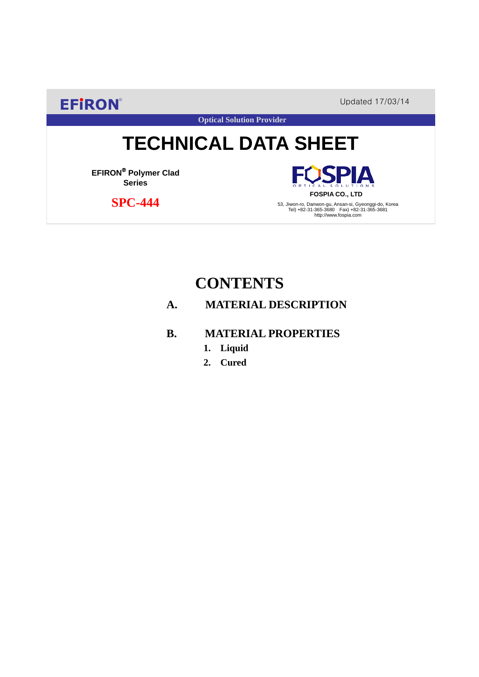**EFIRON®** Updated 17/03/14

**Optical Solution Provider**

# **TECHNICAL DATA SHEET**

**EFIRON**® **Polymer Clad Series**

 **SPC-444**

**SPIA FOSPIA CO., LTD**

53, Jiwon-ro, Danwon-gu, Ansan-si, Gyeonggi-do, Korea Tel) +82-31-365-3680 Fax) +82-31-365-3681 http://www.fospia.com

# **CONTENTS**

### **A. MATERIAL DESCRIPTION**

### **B. MATERIAL PROPERTIES**

- **1. Liquid**
- **2. Cured**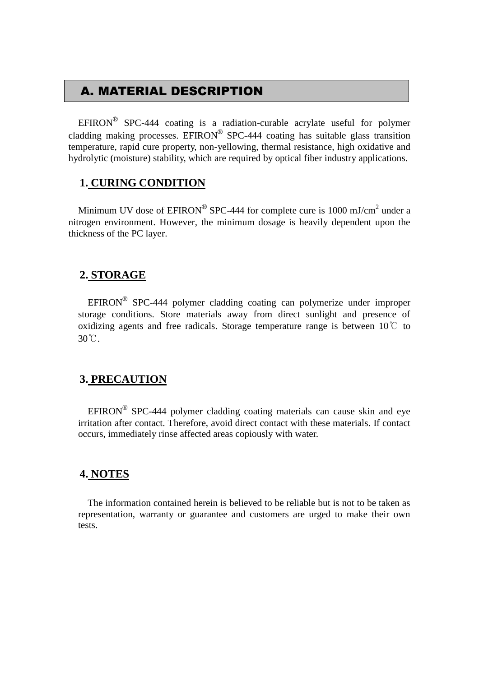## A. MATERIAL DESCRIPTION

EFIRON<sup>®</sup> SPC-444 coating is a radiation-curable acrylate useful for polymer cladding making processes. EFIRON<sup>®</sup> SPC-444 coating has suitable glass transition temperature, rapid cure property, non-yellowing, thermal resistance, high oxidative and hydrolytic (moisture) stability, which are required by optical fiber industry applications.

#### **1. CURING CONDITION**

Minimum UV dose of  $EPIRON^{\circledR}$  SPC-444 for complete cure is 1000 mJ/cm<sup>2</sup> under a nitrogen environment. However, the minimum dosage is heavily dependent upon the thickness of the PC layer.

#### **2. STORAGE**

 $EFINON^{\circledR}$  SPC-444 polymer cladding coating can polymerize under improper storage conditions. Store materials away from direct sunlight and presence of oxidizing agents and free radicals. Storage temperature range is between  $10^{\circ}$  to 30℃.

#### **3. PRECAUTION**

 $EFINON^{\circledR}$  SPC-444 polymer cladding coating materials can cause skin and eye irritation after contact. Therefore, avoid direct contact with these materials. If contact occurs, immediately rinse affected areas copiously with water.

#### **4. NOTES**

The information contained herein is believed to be reliable but is not to be taken as representation, warranty or guarantee and customers are urged to make their own tests.